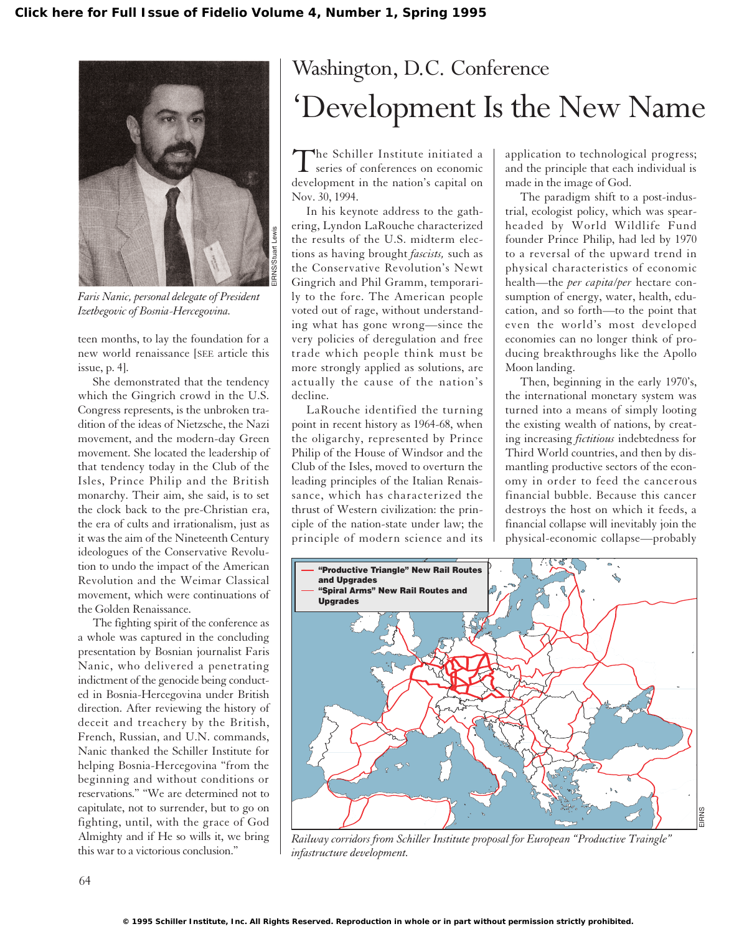

*Faris Nanic, personal delegate of President Izetbegovic of Bosnia-Hercegovina.*

teen months, to lay the foundation for a new world renaissance [SEE article this issue, p. 4].

She demonstrated that the tendency which the Gingrich crowd in the U.S. Congress represents, is the unbroken tradition of the ideas of Nietzsche, the Nazi movement, and the modern-day Green movement. She located the leadership of that tendency today in the Club of the Isles, Prince Philip and the British monarchy. Their aim, she said, is to set the clock back to the pre-Christian era, the era of cults and irrationalism, just as it was the aim of the Nineteenth Century ideologues of the Conservative Revolution to undo the impact of the American Revolution and the Weimar Classical movement, which were continuations of the Golden Renaissance.

The fighting spirit of the conference as a whole was captured in the concluding presentation by Bosnian journalist Faris Nanic, who delivered a penetrating indictment of the genocide being conducted in Bosnia-Hercegovina under British direction. After reviewing the history of deceit and treachery by the British, French, Russian, and U.N. commands, Nanic thanked the Schiller Institute for helping Bosnia-Hercegovina "from the beginning and without conditions or reservations." "We are determined not to capitulate, not to surrender, but to go on fighting, until, with the grace of God Almighty and if He so wills it, we bring this war to a victorious conclusion."

## Washington, D.C. Conference 'Development Is the New Name

The Schiller Institute initiated a series of conferences on economic development in the nation's capital on Nov. 30, 1994.

In his keynote address to the gathering, Lyndon LaRouche characterized the results of the U.S. midterm elections as having brought *fascists,* such as the Conservative Revolution's Newt Gingrich and Phil Gramm, temporarily to the fore. The American people voted out of rage, without understanding what has gone wrong—since the very policies of deregulation and free trade which people think must be more strongly applied as solutions, are actually the cause of the nation's decline.

LaRouche identified the turning point in recent history as 1964-68, when the oligarchy, represented by Prince Philip of the House of Windsor and the Club of the Isles, moved to overturn the leading principles of the Italian Renaissance, which has characterized the thrust of Western civilization: the principle of the nation-state under law; the principle of modern science and its

application to technological progress; and the principle that each individual is made in the image of God.

The paradigm shift to a post-industrial, ecologist policy, which was spearheaded by World Wildlife Fund founder Prince Philip, had led by 1970 to a reversal of the upward trend in physical characteristics of economic health—the *per capita*/*per* hectare consumption of energy, water, health, education, and so forth—to the point that even the world's most developed economies can no longer think of producing breakthroughs like the Apollo Moon landing.

Then, beginning in the early 1970's, the international monetary system was turned into a means of simply looting the existing wealth of nations, by creating increasing *fictitious* indebtedness for Third World countries, and then by dismantling productive sectors of the economy in order to feed the cancerous financial bubble. Because this cancer destroys the host on which it feeds, a financial collapse will inevitably join the physical-economic collapse—probably



*Railway corridors from Schiller Institute proposal for European "Productive Traingle" infastructure development.*